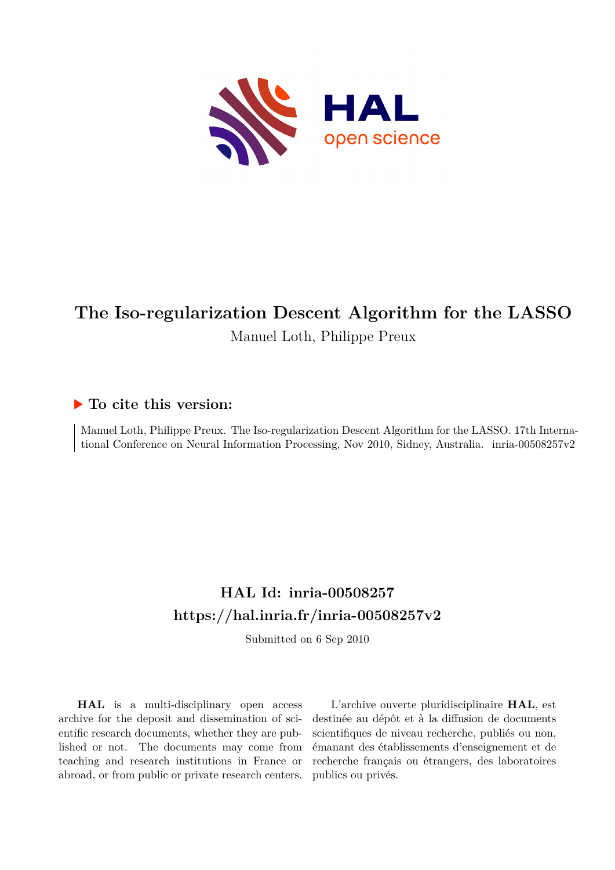

# **The Iso-regularization Descent Algorithm for the LASSO** Manuel Loth, Philippe Preux

# **To cite this version:**

Manuel Loth, Philippe Preux. The Iso-regularization Descent Algorithm for the LASSO. 17th International Conference on Neural Information Processing, Nov 2010, Sidney, Australia. inria-00508257v2

# **HAL Id: inria-00508257 <https://hal.inria.fr/inria-00508257v2>**

Submitted on 6 Sep 2010

**HAL** is a multi-disciplinary open access archive for the deposit and dissemination of scientific research documents, whether they are published or not. The documents may come from teaching and research institutions in France or abroad, or from public or private research centers.

L'archive ouverte pluridisciplinaire **HAL**, est destinée au dépôt et à la diffusion de documents scientifiques de niveau recherche, publiés ou non, émanant des établissements d'enseignement et de recherche français ou étrangers, des laboratoires publics ou privés.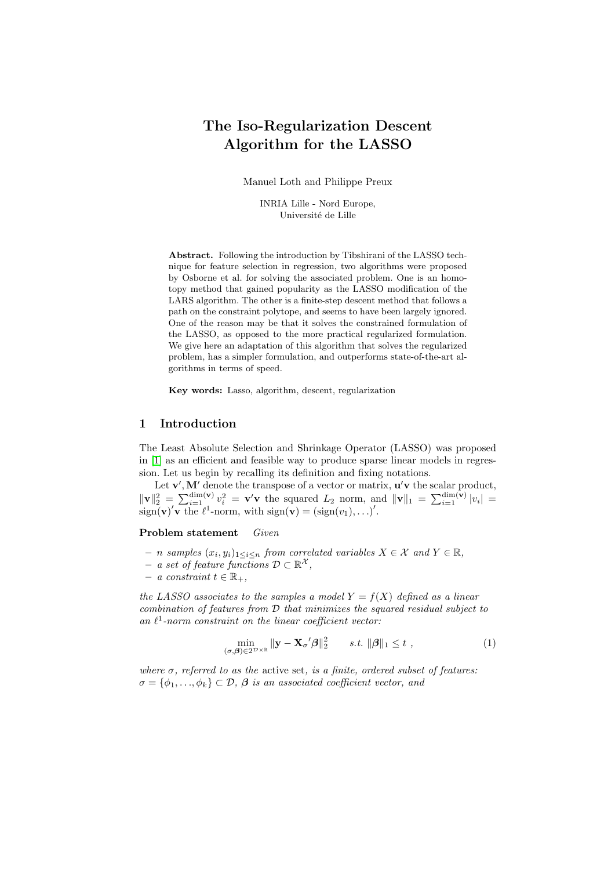# The Iso-Regularization Descent Algorithm for the LASSO

Manuel Loth and Philippe Preux

INRIA Lille - Nord Europe, Université de Lille

Abstract. Following the introduction by Tibshirani of the LASSO technique for feature selection in regression, two algorithms were proposed by Osborne et al. for solving the associated problem. One is an homotopy method that gained popularity as the LASSO modification of the LARS algorithm. The other is a finite-step descent method that follows a path on the constraint polytope, and seems to have been largely ignored. One of the reason may be that it solves the constrained formulation of the LASSO, as opposed to the more practical regularized formulation. We give here an adaptation of this algorithm that solves the regularized problem, has a simpler formulation, and outperforms state-of-the-art algorithms in terms of speed.

Key words: Lasso, algorithm, descent, regularization

# 1 Introduction

The Least Absolute Selection and Shrinkage Operator (LASSO) was proposed in [1] as an efficient and feasible way to produce sparse linear models in regression. Let us begin by recalling its definition and fixing notations.

Let  $\mathbf{v}', \mathbf{M}'$  denote the transpose of a vector or matrix,  $\mathbf{u}'\mathbf{v}$  the scalar product,  $\|\mathbf{v}\|_2^2 = \sum_{i=1}^{\dim(\mathbf{v})} v_i^2 = \mathbf{v}'\mathbf{v}$  the squared  $L_2$  norm, and  $\|\mathbf{v}\|_1 = \sum_{i=1}^{\dim(\mathbf{v})} |v_i| =$  $\operatorname{sign}(\mathbf{v})' \mathbf{v}$  the  $\ell^1$ -norm, with  $\operatorname{sign}(\mathbf{v}) = (\operatorname{sign}(v_1), \ldots)'$ .

Problem statement Given

- $n$  samples  $(x_i, y_i)_{1 \leq i \leq n}$  from correlated variables  $X \in \mathcal{X}$  and  $Y \in \mathbb{R}$ ,
- $-$  a set of feature functions  $\mathcal{D} \subset \mathbb{R}^{\mathcal{X}},$
- $− a constant t \in \mathbb{R}_+,$

the LASSO associates to the samples a model  $Y = f(X)$  defined as a linear combination of features from D that minimizes the squared residual subject to an  $\ell^1$ -norm constraint on the linear coefficient vector:

$$
\min_{(\sigma,\boldsymbol{\beta}) \in 2^{\mathcal{D}} \times \mathbb{R}} \| \mathbf{y} - \mathbf{X}_{\sigma}{}' \boldsymbol{\beta} \|_{2}^{2} \qquad s.t. \ \|\boldsymbol{\beta}\|_{1} \leq t \ , \tag{1}
$$

where  $\sigma$ , referred to as the active set, is a finite, ordered subset of features:  $\sigma = {\phi_1, ..., \phi_k} \subset \mathcal{D}, \beta$  is an associated coefficient vector, and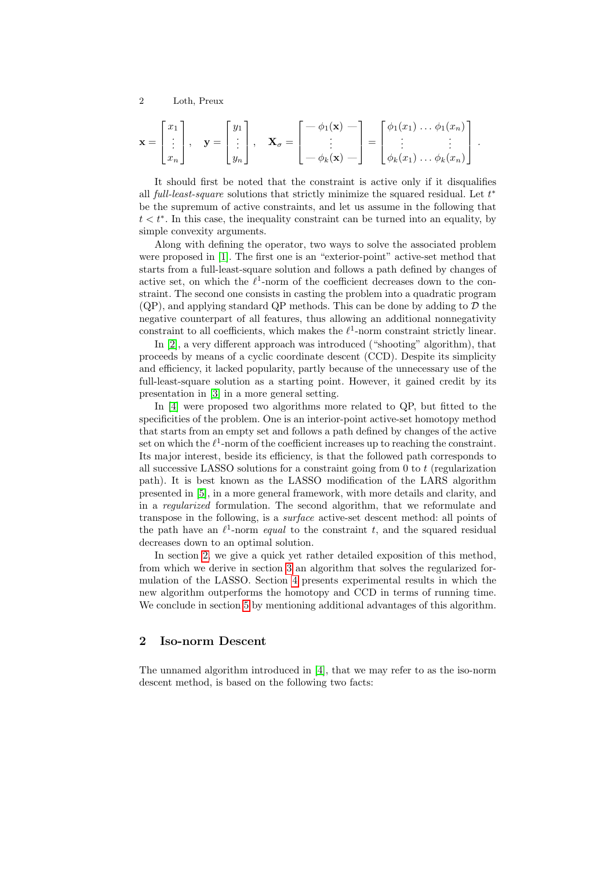$$
\mathbf{x} = \begin{bmatrix} x_1 \\ \vdots \\ x_n \end{bmatrix}, \quad \mathbf{y} = \begin{bmatrix} y_1 \\ \vdots \\ y_n \end{bmatrix}, \quad \mathbf{X}_{\sigma} = \begin{bmatrix} -\phi_1(\mathbf{x}) \\ \vdots \\ -\phi_k(\mathbf{x}) \end{bmatrix} = \begin{bmatrix} \phi_1(x_1) \dots \phi_1(x_n) \\ \vdots \\ \phi_k(x_1) \dots \phi_k(x_n) \end{bmatrix}.
$$

It should first be noted that the constraint is active only if it disqualifies all full-least-square solutions that strictly minimize the squared residual. Let  $t^*$ be the supremum of active constraints, and let us assume in the following that  $t < t^*$ . In this case, the inequality constraint can be turned into an equality, by simple convexity arguments.

Along with defining the operator, two ways to solve the associated problem were proposed in [1]. The first one is an "exterior-point" active-set method that starts from a full-least-square solution and follows a path defined by changes of active set, on which the  $\ell^1$ -norm of the coefficient decreases down to the constraint. The second one consists in casting the problem into a quadratic program  $(QP)$ , and applying standard QP methods. This can be done by adding to  $D$  the negative counterpart of all features, thus allowing an additional nonnegativity constraint to all coefficients, which makes the  $\ell$ <sup>1</sup>-norm constraint strictly linear.

In [2], a very different approach was introduced ("shooting" algorithm), that proceeds by means of a cyclic coordinate descent (CCD). Despite its simplicity and efficiency, it lacked popularity, partly because of the unnecessary use of the full-least-square solution as a starting point. However, it gained credit by its presentation in [3] in a more general setting.

In [4] were proposed two algorithms more related to QP, but fitted to the specificities of the problem. One is an interior-point active-set homotopy method that starts from an empty set and follows a path defined by changes of the active set on which the  $\ell^1$ -norm of the coefficient increases up to reaching the constraint. Its major interest, beside its efficiency, is that the followed path corresponds to all successive LASSO solutions for a constraint going from  $0$  to  $t$  (regularization path). It is best known as the LASSO modification of the LARS algorithm presented in [5], in a more general framework, with more details and clarity, and in a regularized formulation. The second algorithm, that we reformulate and transpose in the following, is a surface active-set descent method: all points of the path have an  $\ell^1$ -norm *equal* to the constraint t, and the squared residual decreases down to an optimal solution.

In section 2, we give a quick yet rather detailed exposition of this method, from which we derive in section 3 an algorithm that solves the regularized formulation of the LASSO. Section 4 presents experimental results in which the new algorithm outperforms the homotopy and CCD in terms of running time. We conclude in section 5 by mentioning additional advantages of this algorithm.

# 2 Iso-norm Descent

The unnamed algorithm introduced in [4], that we may refer to as the iso-norm descent method, is based on the following two facts: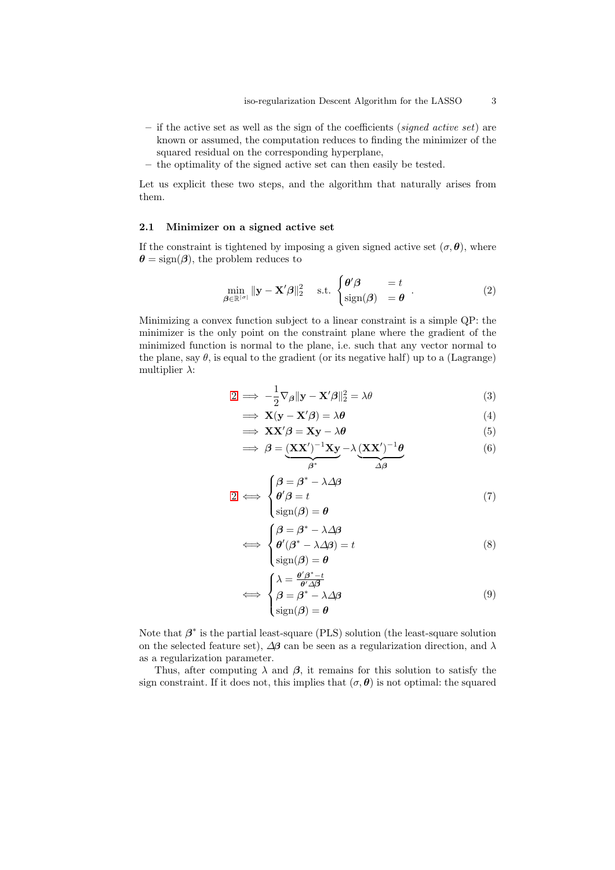- if the active set as well as the sign of the coefficients (signed active set) are known or assumed, the computation reduces to finding the minimizer of the squared residual on the corresponding hyperplane,
- the optimality of the signed active set can then easily be tested.

Let us explicit these two steps, and the algorithm that naturally arises from them.

#### 2.1 Minimizer on a signed active set

If the constraint is tightened by imposing a given signed active set  $(\sigma, \theta)$ , where  $\theta = \text{sign}(\beta)$ , the problem reduces to

$$
\min_{\boldsymbol{\beta} \in \mathbb{R}^{|\sigma|}} \|\mathbf{y} - \mathbf{X}'\boldsymbol{\beta}\|_2^2 \quad \text{s.t. } \begin{cases} \boldsymbol{\theta}'\boldsymbol{\beta} & = t \\ \text{sign}(\boldsymbol{\beta}) & = \boldsymbol{\theta} \end{cases} . \tag{2}
$$

Minimizing a convex function subject to a linear constraint is a simple QP: the minimizer is the only point on the constraint plane where the gradient of the minimized function is normal to the plane, i.e. such that any vector normal to the plane, say  $\theta$ , is equal to the gradient (or its negative half) up to a (Lagrange) multiplier  $\lambda$ :

$$
2 \implies -\frac{1}{2}\nabla_{\beta} \|\mathbf{y} - \mathbf{X}'\boldsymbol{\beta}\|_{2}^{2} = \lambda \theta
$$
\n(3)

$$
\implies \mathbf{X}(\mathbf{y} - \mathbf{X}'\boldsymbol{\beta}) = \lambda \boldsymbol{\theta} \tag{4}
$$

$$
\implies XX'\beta = Xy - \lambda\theta \tag{5}
$$

$$
\implies \beta = \underbrace{(XX')^{-1}Xy}_{\beta^*} - \lambda \underbrace{(XX')^{-1}\theta}_{\Delta\beta}
$$
(6)

$$
2 \iff \begin{cases} \beta = \beta^* - \lambda \Delta \beta \\ \theta' \beta = t \\ \text{sign}(\beta) = \theta \end{cases}
$$
 (7)

$$
\iff \begin{cases} \beta = \beta^* - \lambda \Delta \beta \\ \theta'(\beta^* - \lambda \Delta \beta) = t \\ \text{sign}(\beta) = \theta \end{cases} \tag{8}
$$

$$
\iff \begin{cases} \lambda = \frac{\theta'\beta^* - t}{\theta'\Delta\beta} \\ \beta = \beta^* - \lambda\Delta\beta \\ \text{sign}(\beta) = \theta \end{cases} \tag{9}
$$

Note that  $\beta^*$  is the partial least-square (PLS) solution (the least-square solution on the selected feature set),  $\Delta\beta$  can be seen as a regularization direction, and  $\lambda$ as a regularization parameter.

Thus, after computing  $\lambda$  and  $\beta$ , it remains for this solution to satisfy the sign constraint. If it does not, this implies that  $(\sigma, \theta)$  is not optimal: the squared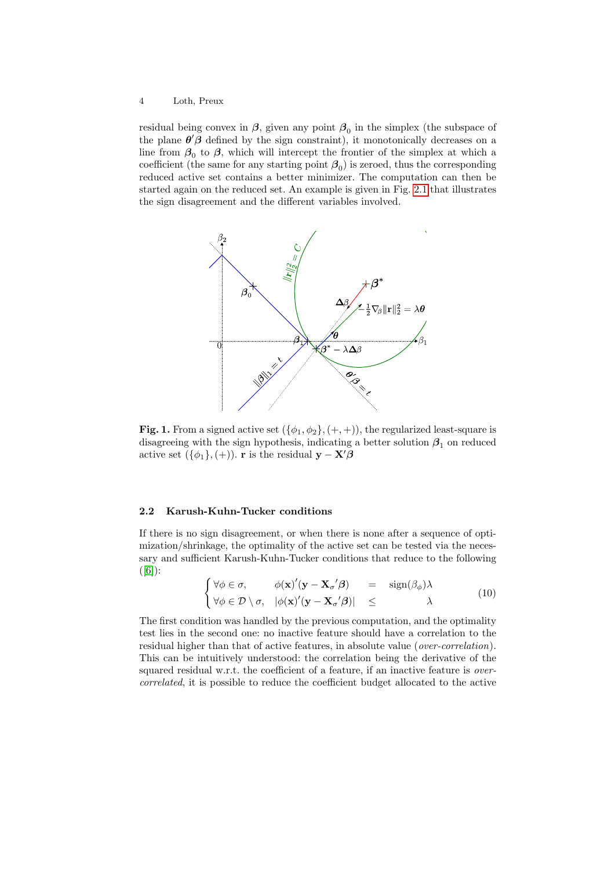residual being convex in  $\beta$ , given any point  $\beta_0$  in the simplex (the subspace of the plane  $\theta' \beta$  defined by the sign constraint), it monotonically decreases on a line from  $\beta_0$  to  $\beta$ , which will intercept the frontier of the simplex at which a coefficient (the same for any starting point  $\beta_0$ ) is zeroed, thus the corresponding reduced active set contains a better minimizer. The computation can then be started again on the reduced set. An example is given in Fig. 2.1 that illustrates the sign disagreement and the different variables involved.



Fig. 1. From a signed active set  $({\phi_1, \phi_2}, (+, +))$ , the regularized least-square is disagreeing with the sign hypothesis, indicating a better solution  $\beta_1$  on reduced active set  $({\phi_1}, ({+}))$ . r is the residual  $\mathbf{y} - \mathbf{X}'\boldsymbol{\beta}$ 

#### 2.2 Karush-Kuhn-Tucker conditions

If there is no sign disagreement, or when there is none after a sequence of optimization/shrinkage, the optimality of the active set can be tested via the necessary and sufficient Karush-Kuhn-Tucker conditions that reduce to the following  $([6])$ :

$$
\begin{cases}\n\forall \phi \in \sigma, & \phi(\mathbf{x})'(\mathbf{y} - \mathbf{X}_{\sigma}'\boldsymbol{\beta}) = \operatorname{sign}(\beta_{\phi})\lambda \\
\forall \phi \in \mathcal{D} \setminus \sigma, & |\phi(\mathbf{x})'(\mathbf{y} - \mathbf{X}_{\sigma}'\boldsymbol{\beta})| \leq \lambda\n\end{cases} (10)
$$

The first condition was handled by the previous computation, and the optimality test lies in the second one: no inactive feature should have a correlation to the residual higher than that of active features, in absolute value (*over-correlation*). This can be intuitively understood: the correlation being the derivative of the squared residual w.r.t. the coefficient of a feature, if an inactive feature is *over*correlated, it is possible to reduce the coefficient budget allocated to the active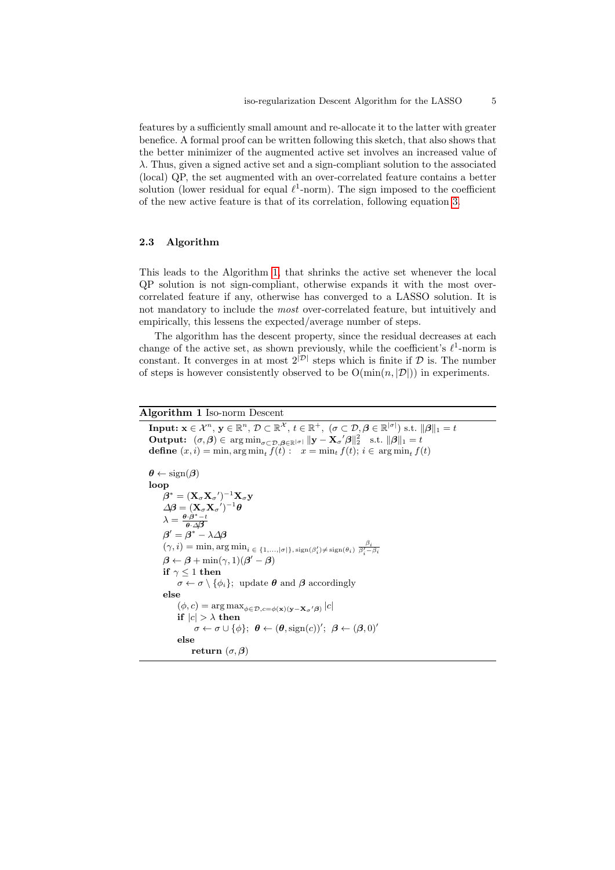features by a sufficiently small amount and re-allocate it to the latter with greater benefice. A formal proof can be written following this sketch, that also shows that the better minimizer of the augmented active set involves an increased value of  $\lambda$ . Thus, given a signed active set and a sign-compliant solution to the associated (local) QP, the set augmented with an over-correlated feature contains a better solution (lower residual for equal  $\ell^1$ -norm). The sign imposed to the coefficient of the new active feature is that of its correlation, following equation 3.

### 2.3 Algorithm

This leads to the Algorithm 1, that shrinks the active set whenever the local QP solution is not sign-compliant, otherwise expands it with the most overcorrelated feature if any, otherwise has converged to a LASSO solution. It is not mandatory to include the most over-correlated feature, but intuitively and empirically, this lessens the expected/average number of steps.

The algorithm has the descent property, since the residual decreases at each change of the active set, as shown previously, while the coefficient's  $\ell^1$ -norm is constant. It converges in at most  $2^{|\mathcal{D}|}$  steps which is finite if  $\mathcal D$  is. The number of steps is however consistently observed to be  $O(\min(n, |\mathcal{D}|))$  in experiments.

# Algorithm 1 Iso-norm Descent

**Input:**  $\mathbf{x} \in \mathcal{X}^n$ ,  $\mathbf{y} \in \mathbb{R}^n$ ,  $\mathcal{D} \subset \mathbb{R}^{\mathcal{X}}$ ,  $t \in \mathbb{R}^+$ ,  $(\sigma \subset \mathcal{D}, \boldsymbol{\beta} \in \mathbb{R}^{|\sigma|})$  s.t.  $\|\boldsymbol{\beta}\|_1 = t$ **Output:**  $(\sigma, \beta) \in \arg \min_{\sigma \subset \mathcal{D}, \beta \in \mathbb{R}^{|\sigma|}} \| \mathbf{y} - \mathbf{X}_{\sigma} \beta \|_2^2$  s.t.  $\|\beta\|_1 = t$ **define**  $(x, i) = \min$ ,  $\arg \min_t f(t)$ :  $x = \min_t f(t)$ ;  $i \in \arg \min_t f(t)$  $\theta \leftarrow \text{sign}(\beta)$ loop  $\boldsymbol{\beta}^* = (\mathbf{X}_\sigma \mathbf{X}_{\sigma}{}')^{-1} \mathbf{X}_{\sigma} \mathbf{y}$  $\varDelta \!\!\! / \beta = (\mathbf{X}_\sigma \mathbf{X}_{\sigma^{'}} )^{-1} \theta$  $\lambda = \frac{\boldsymbol{\theta}\cdot\boldsymbol{\beta}^* - t}{\boldsymbol{\theta}\cdot\Delta\boldsymbol{\beta}}$  $\boldsymbol{\beta}' = \boldsymbol{\beta}^* - \lambda \Delta \boldsymbol{\beta}$  $(\gamma, i) = \min, \arg \min_{i \in \{1, ..., |\sigma|\}, \operatorname{sign}(\beta_i') \neq \operatorname{sign}(\theta_i) } \frac{\beta_i}{\beta_i' - \beta_i}$  $\beta \leftarrow \beta + \min(\gamma, 1)(\beta' - \beta)$ if  $\gamma < 1$  then  $\sigma \leftarrow \sigma \setminus {\phi_i}$ ; update  $\theta$  and  $\beta$  accordingly else  $(\phi, c) = \arg \max_{\phi \in \mathcal{D}, c = \phi(\mathbf{x}) (\mathbf{y} - \mathbf{X}_{\sigma}' \boldsymbol{\beta})} |c|$ if  $|c| > \lambda$  then  $\sigma \leftarrow \sigma \cup {\{\phi\}}; \; \theta \leftarrow (\theta, \text{sign}(c))'; \; \beta \leftarrow (\beta, 0)'$ else return  $(\sigma, \beta)$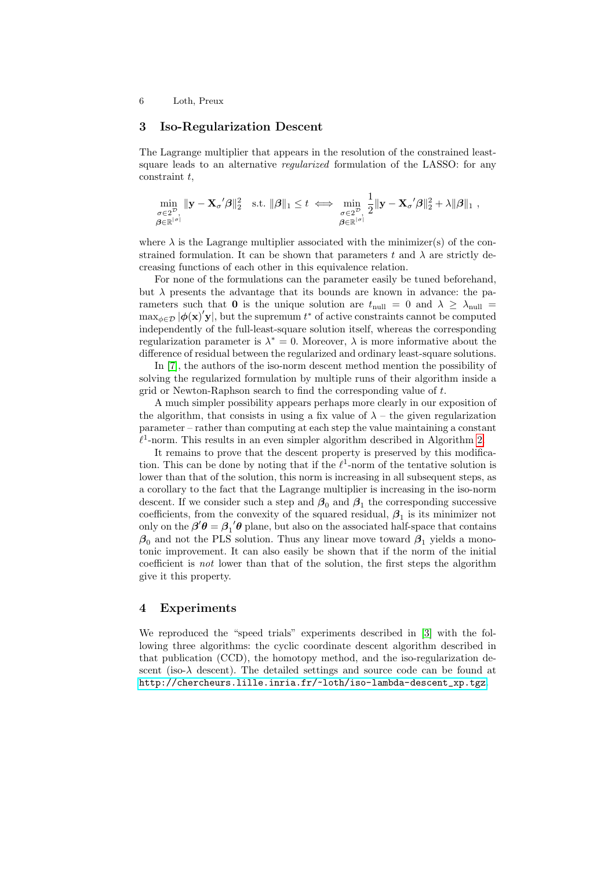# 3 Iso-Regularization Descent

The Lagrange multiplier that appears in the resolution of the constrained leastsquare leads to an alternative *regularized* formulation of the LASSO: for any  $constant$  t,

$$
\min_{\substack{\sigma \in 2^{\mathcal{D}}, \\ \boldsymbol{\beta} \in \mathbb{R}^{|\sigma|}}} \| \mathbf{y} - \mathbf{X}_{\sigma}{}' \boldsymbol{\beta} \|_2^2 \quad \text{s.t. } \|\boldsymbol{\beta}\|_1 \leq t \iff \min_{\substack{\sigma \in 2^{\mathcal{D}}, \\ \boldsymbol{\beta} \in \mathbb{R}^{|\sigma|}}} \frac{1}{2} \| \mathbf{y} - \mathbf{X}_{\sigma}{}' \boldsymbol{\beta} \|_2^2 + \lambda \|\boldsymbol{\beta}\|_1 ,
$$

where  $\lambda$  is the Lagrange multiplier associated with the minimizer(s) of the constrained formulation. It can be shown that parameters t and  $\lambda$  are strictly decreasing functions of each other in this equivalence relation.

For none of the formulations can the parameter easily be tuned beforehand, but  $\lambda$  presents the advantage that its bounds are known in advance: the parameters such that 0 is the unique solution are  $t_{\text{null}} = 0$  and  $\lambda \geq \lambda_{\text{null}} =$  $\max_{\phi \in \mathcal{D}} |\phi(\mathbf{x})' \mathbf{y}|$ , but the supremum  $t^*$  of active constraints cannot be computed independently of the full-least-square solution itself, whereas the corresponding regularization parameter is  $\lambda^* = 0$ . Moreover,  $\lambda$  is more informative about the difference of residual between the regularized and ordinary least-square solutions.

In [7], the authors of the iso-norm descent method mention the possibility of solving the regularized formulation by multiple runs of their algorithm inside a grid or Newton-Raphson search to find the corresponding value of t.

A much simpler possibility appears perhaps more clearly in our exposition of the algorithm, that consists in using a fix value of  $\lambda$  – the given regularization parameter – rather than computing at each step the value maintaining a constant  $\ell$ <sup>1</sup>-norm. This results in an even simpler algorithm described in Algorithm 2.

It remains to prove that the descent property is preserved by this modification. This can be done by noting that if the  $\ell^1$ -norm of the tentative solution is lower than that of the solution, this norm is increasing in all subsequent steps, as a corollary to the fact that the Lagrange multiplier is increasing in the iso-norm descent. If we consider such a step and  $\beta_0$  and  $\beta_1$  the corresponding successive coefficients, from the convexity of the squared residual,  $\beta_1$  is its minimizer not only on the  $\beta' \theta = \beta_1' \theta$  plane, but also on the associated half-space that contains  $\beta_0$  and not the PLS solution. Thus any linear move toward  $\beta_1$  yields a monotonic improvement. It can also easily be shown that if the norm of the initial coefficient is not lower than that of the solution, the first steps the algorithm give it this property.

# 4 Experiments

We reproduced the "speed trials" experiments described in [3] with the following three algorithms: the cyclic coordinate descent algorithm described in that publication (CCD), the homotopy method, and the iso-regularization descent (iso- $\lambda$  descent). The detailed settings and source code can be found at [http://chercheurs.lille.inria.fr/~loth/iso-lambda-descent\\_xp.tgz](http://chercheurs.lille.inria.fr/~loth/iso-lambda-descent_xp.tgz).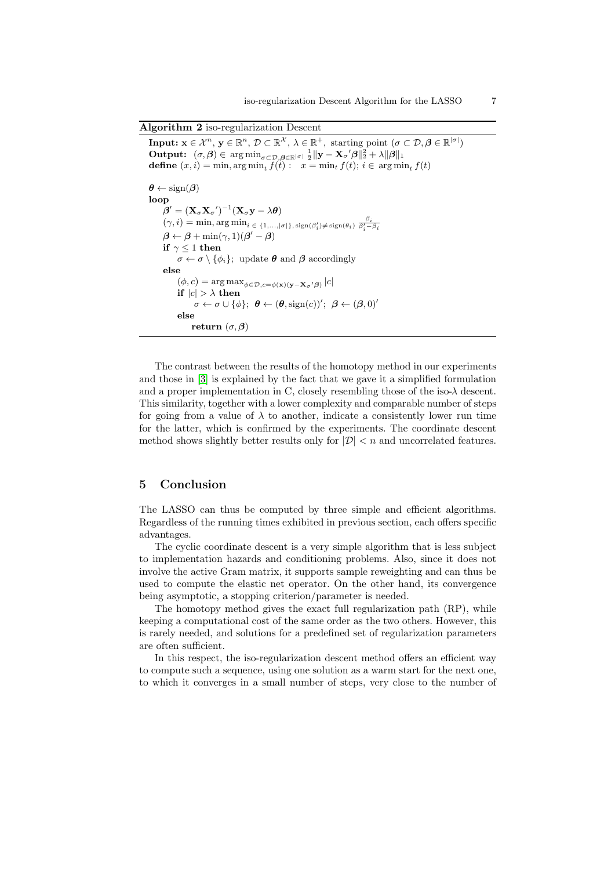Algorithm 2 iso-regularization Descent

**Input:**  $\mathbf{x} \in \mathcal{X}^n$ ,  $\mathbf{y} \in \mathbb{R}^n$ ,  $\mathcal{D} \subset \mathbb{R}^{\mathcal{X}}$ ,  $\lambda \in \mathbb{R}^+$ , starting point  $(\sigma \subset \mathcal{D}, \boldsymbol{\beta} \in \mathbb{R}^{|\sigma|})$ **Output:**  $(\sigma, \beta) \in \arg \min_{\sigma \in \mathcal{D}, \beta \in \mathbb{R}^{|\sigma|}} \frac{1}{2} ||\mathbf{y} - \mathbf{X}_{\sigma}'\beta||_2^2 + \lambda ||\beta||_1$ **define**  $(x, i) = \min$ ,  $\arg \min_t f(t)$ :  $x = \min_t f(t)$ ;  $i \in \arg \min_t f(t)$  $\theta \leftarrow \text{sign}(\beta)$ loop  $\boldsymbol{\beta}' = (\mathbf{X}_{\sigma} \mathbf{X}_{\sigma}{}')^{-1} (\mathbf{X}_{\sigma} \mathbf{y} - \lambda \boldsymbol{\theta})$  $(\gamma, i) = \min, \arg \min_{i \in \{1, ..., |\sigma|\}, \operatorname{sign}(\beta_i') \neq \operatorname{sign}(\theta_i) } \frac{\beta_i}{\beta_i' - \beta_i}$  $\boldsymbol{\beta} \leftarrow \boldsymbol{\beta} + \min(\gamma, 1)(\boldsymbol{\beta}' - \boldsymbol{\beta})$ if  $\gamma$  < 1 then  $\sigma \leftarrow \sigma \setminus {\phi_i}$ ; update  $\theta$  and  $\beta$  accordingly else  $(\phi, c) = \arg \max_{\phi \in \mathcal{D}, c = \phi(\mathbf{x}) (\mathbf{y} - \mathbf{X}_{\sigma}' \boldsymbol{\beta})} |c|$ if  $|c| > \lambda$  then  $\sigma \leftarrow \sigma \cup {\{\phi\}}; \; \theta \leftarrow (\theta, \text{sign}(c))'; \; \beta \leftarrow (\beta, 0)'$ else return  $(\sigma, \beta)$ 

The contrast between the results of the homotopy method in our experiments and those in [3] is explained by the fact that we gave it a simplified formulation and a proper implementation in C, closely resembling those of the iso-λ descent. This similarity, together with a lower complexity and comparable number of steps for going from a value of  $\lambda$  to another, indicate a consistently lower run time for the latter, which is confirmed by the experiments. The coordinate descent method shows slightly better results only for  $|\mathcal{D}| < n$  and uncorrelated features.

# 5 Conclusion

The LASSO can thus be computed by three simple and efficient algorithms. Regardless of the running times exhibited in previous section, each offers specific advantages.

The cyclic coordinate descent is a very simple algorithm that is less subject to implementation hazards and conditioning problems. Also, since it does not involve the active Gram matrix, it supports sample reweighting and can thus be used to compute the elastic net operator. On the other hand, its convergence being asymptotic, a stopping criterion/parameter is needed.

The homotopy method gives the exact full regularization path (RP), while keeping a computational cost of the same order as the two others. However, this is rarely needed, and solutions for a predefined set of regularization parameters are often sufficient.

In this respect, the iso-regularization descent method offers an efficient way to compute such a sequence, using one solution as a warm start for the next one, to which it converges in a small number of steps, very close to the number of